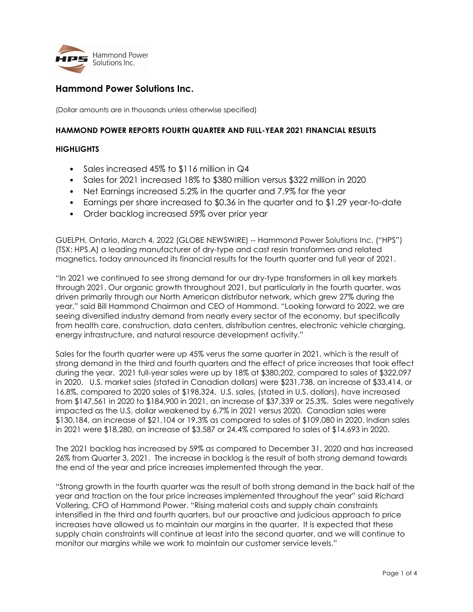

## Hammond Power Solutions Inc.

(Dollar amounts are in thousands unless otherwise specified)

### HAMMOND POWER REPORTS FOURTH QUARTER AND FULL-YEAR 2021 FINANCIAL RESULTS

### **HIGHLIGHTS**

- Sales increased 45% to \$116 million in Q4
- Sales for 2021 increased 18% to \$380 million versus \$322 million in 2020
- Net Earnings increased 5.2% in the quarter and 7.9% for the year
- Earnings per share increased to \$0.36 in the quarter and to \$1.29 year-to-date
- Order backlog increased 59% over prior year

GUELPH, Ontario, March 4, 2022 (GLOBE NEWSWIRE) -- Hammond Power Solutions Inc. ("HPS") (TSX: HPS.A) a leading manufacturer of dry-type and cast resin transformers and related magnetics, today announced its financial results for the fourth quarter and full year of 2021.

"In 2021 we continued to see strong demand for our dry-type transformers in all key markets through 2021. Our organic growth throughout 2021, but particularly in the fourth quarter, was driven primarily through our North American distributor network, which grew 27% during the year," said Bill Hammond Chairman and CEO of Hammond. "Looking forward to 2022, we are seeing diversified industry demand from nearly every sector of the economy, but specifically from health care, construction, data centers, distribution centres, electronic vehicle charging, energy infrastructure, and natural resource development activity."

Sales for the fourth quarter were up 45% verus the same quarter in 2021, which is the result of strong demand in the third and fourth quarters and the effect of price increases that took effect during the year. 2021 full-year sales were up by 18% at \$380,202, compared to sales of \$322,097 in 2020. U.S. market sales (stated in Canadian dollars) were \$231,738, an increase of \$33,414, or 16.8%, compared to 2020 sales of \$198,324. U.S. sales, (stated in U.S. dollars), have increased from \$147,561 in 2020 to \$184,900 in 2021, an increase of \$37,339 or 25.3%. Sales were negatively impacted as the U.S. dollar weakened by 6.7% in 2021 versus 2020. Canadian sales were \$130,184, an increase of \$21,104 or 19.3% as compared to sales of \$109,080 in 2020. Indian sales in 2021 were \$18,280, an increase of \$3,587 or 24.4% compared to sales of \$14,693 in 2020.

The 2021 backlog has increased by 59% as compared to December 31, 2020 and has increased 26% from Quarter 3, 2021. The increase in backlog is the result of both strong demand towards the end of the year and price increases implemented through the year.

"Strong growth in the fourth quarter was the result of both strong demand in the back half of the year and traction on the four price increases implemented throughout the year" said Richard Vollering, CFO of Hammond Power. "Rising material costs and supply chain constraints intensified in the third and fourth quarters, but our proactive and judicious approach to price increases have allowed us to maintain our margins in the quarter. It is expected that these supply chain constraints will continue at least into the second quarter, and we will continue to monitor our margins while we work to maintain our customer service levels."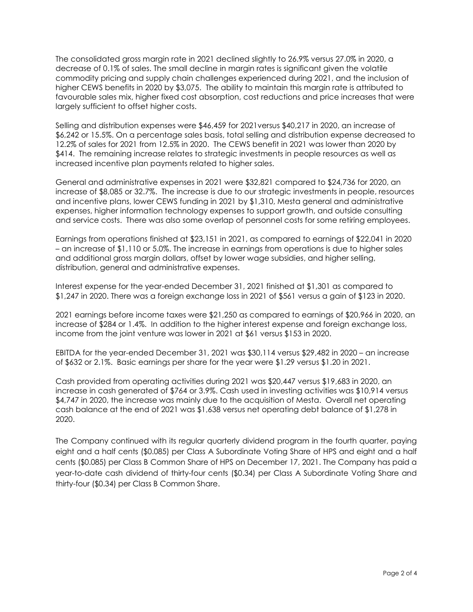The consolidated gross margin rate in 2021 declined slightly to 26.9% versus 27.0% in 2020, a decrease of 0.1% of sales. The small decline in margin rates is significant given the volatile commodity pricing and supply chain challenges experienced during 2021, and the inclusion of higher CEWS benefits in 2020 by \$3,075. The ability to maintain this margin rate is attributed to favourable sales mix, higher fixed cost absorption, cost reductions and price increases that were largely sufficient to offset higher costs.

Selling and distribution expenses were \$46,459 for 2021versus \$40,217 in 2020, an increase of \$6,242 or 15.5%. On a percentage sales basis, total selling and distribution expense decreased to 12.2% of sales for 2021 from 12.5% in 2020. The CEWS benefit in 2021 was lower than 2020 by \$414. The remaining increase relates to strategic investments in people resources as well as increased incentive plan payments related to higher sales.

General and administrative expenses in 2021 were \$32,821 compared to \$24,736 for 2020, an increase of \$8,085 or 32.7%. The increase is due to our strategic investments in people, resources and incentive plans, lower CEWS funding in 2021 by \$1,310, Mesta general and administrative expenses, higher information technology expenses to support growth, and outside consulting and service costs. There was also some overlap of personnel costs for some retiring employees.

Earnings from operations finished at \$23,151 in 2021, as compared to earnings of \$22,041 in 2020 – an increase of \$1,110 or 5.0%. The increase in earnings from operations is due to higher sales and additional gross margin dollars, offset by lower wage subsidies, and higher selling, distribution, general and administrative expenses.

Interest expense for the year-ended December 31, 2021 finished at \$1,301 as compared to \$1,247 in 2020. There was a foreign exchange loss in 2021 of \$561 versus a gain of \$123 in 2020.

2021 earnings before income taxes were \$21,250 as compared to earnings of \$20,966 in 2020, an increase of \$284 or 1.4%. In addition to the higher interest expense and foreign exchange loss, income from the joint venture was lower in 2021 at \$61 versus \$153 in 2020.

EBITDA for the year-ended December 31, 2021 was \$30,114 versus \$29,482 in 2020 – an increase of \$632 or 2.1%. Basic earnings per share for the year were \$1.29 versus \$1.20 in 2021.

Cash provided from operating activities during 2021 was \$20,447 versus \$19,683 in 2020, an increase in cash generated of \$764 or 3.9%. Cash used in investing activities was \$10,914 versus \$4,747 in 2020, the increase was mainly due to the acquisition of Mesta. Overall net operating cash balance at the end of 2021 was \$1,638 versus net operating debt balance of \$1,278 in 2020.

The Company continued with its regular quarterly dividend program in the fourth quarter, paying eight and a half cents (\$0.085) per Class A Subordinate Voting Share of HPS and eight and a half cents (\$0.085) per Class B Common Share of HPS on December 17, 2021. The Company has paid a year-to-date cash dividend of thirty-four cents (\$0.34) per Class A Subordinate Voting Share and thirty-four (\$0.34) per Class B Common Share.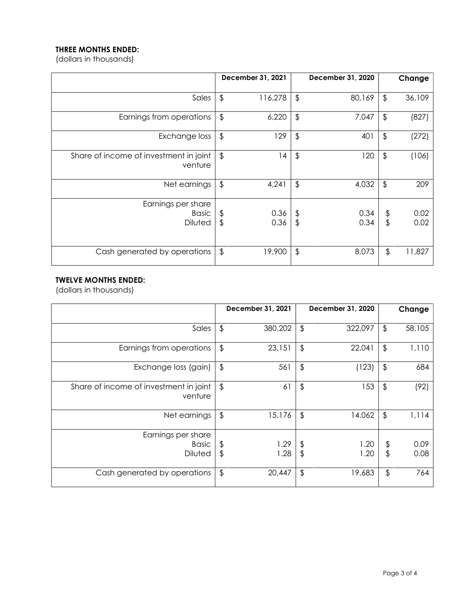# THREE MONTHS ENDED:

(dollars in thousands)

|                                                   |                         | December 31, 2021 |                                   | December 31, 2020 |                     | Change       |
|---------------------------------------------------|-------------------------|-------------------|-----------------------------------|-------------------|---------------------|--------------|
| Sales                                             | $\frac{1}{2}$           | 116,278           | $\frac{1}{2}$                     | 80,169            | $\frac{1}{2}$       | 36,109       |
| Earnings from operations                          | $\frac{1}{2}$           | 6,220             | $\frac{1}{2}$                     | 7,047             | $\frac{1}{2}$       | (827)        |
| Exchange loss                                     | $\frac{1}{2}$           | 129               | $\updownarrow$                    | 401               | \$                  | (272)        |
| Share of income of investment in joint<br>venture | $\frac{1}{2}$           | 14                | $\frac{1}{2}$                     | 120               | $\frac{1}{2}$       | (106)        |
| Net earnings                                      | $\frac{1}{2}$           | 4,241             | $\frac{1}{2}$                     | 4,032             | $\frac{1}{2}$       | 209          |
| Earnings per share<br>Basic<br><b>Diluted</b>     | \$<br>$\frac{1}{2}$     | 0.36<br>0.36      | $\updownarrow$<br>$\overline{\$}$ | 0.34<br>0.34      | \$<br>$\frac{1}{2}$ | 0.02<br>0.02 |
| Cash generated by operations                      | $\sqrt[6]{\frac{1}{2}}$ | 19,900            | $\frac{1}{2}$                     | 8,073             | $\frac{1}{2}$       | 11,827       |

### TWELVE MONTHS ENDED:

(dollars in thousands)

|                                                      |               | December 31, 2021 |               | December 31, 2020 |               | Change       |
|------------------------------------------------------|---------------|-------------------|---------------|-------------------|---------------|--------------|
| Sales                                                | $\frac{1}{2}$ | 380,202           | $\frac{1}{2}$ | 322,097           | $\frac{1}{2}$ | 58,105       |
| Earnings from operations                             | $\frac{1}{2}$ | 23,151            | $\frac{1}{2}$ | 22,041            | $\frac{1}{2}$ | 1,110        |
| Exchange loss (gain)                                 | $\frac{1}{2}$ | 561               | $\frac{1}{2}$ | (123)             | $\frac{1}{2}$ | 684          |
| Share of income of investment in joint<br>venture    | $\frac{1}{2}$ | 61                | $\frac{1}{2}$ | 153               | $\frac{1}{2}$ | (92)         |
| Net earnings                                         | $\frac{1}{2}$ | 15,176            | $\frac{1}{2}$ | 14,062            | $\frac{1}{2}$ | 1,114        |
| Earnings per share<br><b>Basic</b><br><b>Diluted</b> | \$<br>\$      | 1.29<br>1.28      | \$<br>\$      | 1.20<br>1.20      | \$<br>\$      | 0.09<br>0.08 |
| Cash generated by operations                         | $\frac{1}{2}$ | 20,447            | \$            | 19,683            | $\frac{1}{2}$ | 764          |